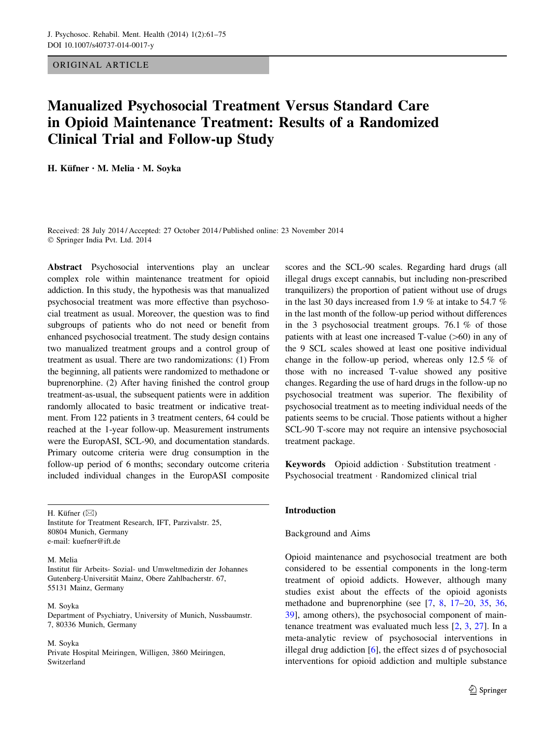ORIGINAL ARTICLE

# Manualized Psychosocial Treatment Versus Standard Care in Opioid Maintenance Treatment: Results of a Randomized Clinical Trial and Follow-up Study

H. Küfner · M. Melia · M. Soyka

Received: 28 July 2014 / Accepted: 27 October 2014 / Published online: 23 November 2014 - Springer India Pvt. Ltd. 2014

Abstract Psychosocial interventions play an unclear complex role within maintenance treatment for opioid addiction. In this study, the hypothesis was that manualized psychosocial treatment was more effective than psychosocial treatment as usual. Moreover, the question was to find subgroups of patients who do not need or benefit from enhanced psychosocial treatment. The study design contains two manualized treatment groups and a control group of treatment as usual. There are two randomizations: (1) From the beginning, all patients were randomized to methadone or buprenorphine. (2) After having finished the control group treatment-as-usual, the subsequent patients were in addition randomly allocated to basic treatment or indicative treatment. From 122 patients in 3 treatment centers, 64 could be reached at the 1-year follow-up. Measurement instruments were the EuropASI, SCL-90, and documentation standards. Primary outcome criteria were drug consumption in the follow-up period of 6 months; secondary outcome criteria included individual changes in the EuropASI composite

H. Küfner  $(\boxtimes)$ Institute for Treatment Research, IFT, Parzivalstr. 25, 80804 Munich, Germany e-mail: kuefner@ift.de

# M. Melia

## Institut für Arbeits- Sozial- und Umweltmedizin der Johannes Gutenberg-Universität Mainz, Obere Zahlbacherstr. 67, 55131 Mainz, Germany

M. Soyka Department of Psychiatry, University of Munich, Nussbaumstr. 7, 80336 Munich, Germany

#### M. Soyka

Private Hospital Meiringen, Willigen, 3860 Meiringen, Switzerland

scores and the SCL-90 scales. Regarding hard drugs (all illegal drugs except cannabis, but including non-prescribed tranquilizers) the proportion of patient without use of drugs in the last 30 days increased from 1.9 % at intake to 54.7 % in the last month of the follow-up period without differences in the 3 psychosocial treatment groups. 76.1 % of those patients with at least one increased  $T$ -value ( $>60$ ) in any of the 9 SCL scales showed at least one positive individual change in the follow-up period, whereas only 12.5 % of those with no increased T-value showed any positive changes. Regarding the use of hard drugs in the follow-up no psychosocial treatment was superior. The flexibility of psychosocial treatment as to meeting individual needs of the patients seems to be crucial. Those patients without a higher SCL-90 T-score may not require an intensive psychosocial treatment package.

Keywords Opioid addiction - Substitution treatment - Psychosocial treatment - Randomized clinical trial

# Introduction

# Background and Aims

Opioid maintenance and psychosocial treatment are both considered to be essential components in the long-term treatment of opioid addicts. However, although many studies exist about the effects of the opioid agonists methadone and buprenorphine (see [[7,](#page-13-0) [8](#page-13-0), [17–20](#page-14-0), [35,](#page-14-0) [36,](#page-14-0) [39](#page-14-0)], among others), the psychosocial component of maintenance treatment was evaluated much less [\[2](#page-13-0), [3,](#page-13-0) [27](#page-14-0)]. In a meta-analytic review of psychosocial interventions in illegal drug addiction [\[6](#page-13-0)], the effect sizes d of psychosocial interventions for opioid addiction and multiple substance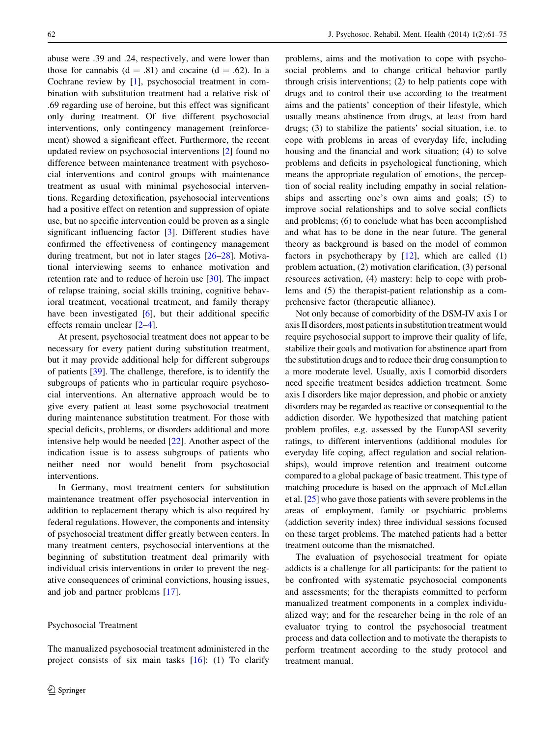abuse were .39 and .24, respectively, and were lower than those for cannabis  $(d = .81)$  and cocaine  $(d = .62)$ . In a Cochrane review by [[1\]](#page-13-0), psychosocial treatment in combination with substitution treatment had a relative risk of .69 regarding use of heroine, but this effect was significant only during treatment. Of five different psychosocial interventions, only contingency management (reinforcement) showed a significant effect. Furthermore, the recent updated review on psychosocial interventions [[2\]](#page-13-0) found no difference between maintenance treatment with psychosocial interventions and control groups with maintenance treatment as usual with minimal psychosocial interventions. Regarding detoxification, psychosocial interventions had a positive effect on retention and suppression of opiate use, but no specific intervention could be proven as a single significant influencing factor [[3\]](#page-13-0). Different studies have confirmed the effectiveness of contingency management during treatment, but not in later stages [\[26–28](#page-14-0)]. Motivational interviewing seems to enhance motivation and retention rate and to reduce of heroin use [[30\]](#page-14-0). The impact of relapse training, social skills training, cognitive behavioral treatment, vocational treatment, and family therapy have been investigated [[6\]](#page-13-0), but their additional specific effects remain unclear [\[2–4](#page-13-0)].

At present, psychosocial treatment does not appear to be necessary for every patient during substitution treatment, but it may provide additional help for different subgroups of patients [[39\]](#page-14-0). The challenge, therefore, is to identify the subgroups of patients who in particular require psychosocial interventions. An alternative approach would be to give every patient at least some psychosocial treatment during maintenance substitution treatment. For those with special deficits, problems, or disorders additional and more intensive help would be needed [\[22](#page-14-0)]. Another aspect of the indication issue is to assess subgroups of patients who neither need nor would benefit from psychosocial interventions.

In Germany, most treatment centers for substitution maintenance treatment offer psychosocial intervention in addition to replacement therapy which is also required by federal regulations. However, the components and intensity of psychosocial treatment differ greatly between centers. In many treatment centers, psychosocial interventions at the beginning of substitution treatment deal primarily with individual crisis interventions in order to prevent the negative consequences of criminal convictions, housing issues, and job and partner problems [\[17](#page-14-0)].

## Psychosocial Treatment

The manualized psychosocial treatment administered in the project consists of six main tasks [\[16](#page-14-0)]: (1) To clarify problems, aims and the motivation to cope with psychosocial problems and to change critical behavior partly through crisis interventions; (2) to help patients cope with drugs and to control their use according to the treatment aims and the patients' conception of their lifestyle, which usually means abstinence from drugs, at least from hard drugs; (3) to stabilize the patients' social situation, i.e. to cope with problems in areas of everyday life, including housing and the financial and work situation; (4) to solve problems and deficits in psychological functioning, which means the appropriate regulation of emotions, the perception of social reality including empathy in social relationships and asserting one's own aims and goals; (5) to improve social relationships and to solve social conflicts and problems; (6) to conclude what has been accomplished and what has to be done in the near future. The general theory as background is based on the model of common factors in psychotherapy by  $[12]$  $[12]$ , which are called  $(1)$ problem actuation, (2) motivation clarification, (3) personal resources activation, (4) mastery: help to cope with problems and (5) the therapist-patient relationship as a comprehensive factor (therapeutic alliance).

Not only because of comorbidity of the DSM-IV axis I or axis II disorders, most patients in substitution treatment would require psychosocial support to improve their quality of life, stabilize their goals and motivation for abstinence apart from the substitution drugs and to reduce their drug consumption to a more moderate level. Usually, axis I comorbid disorders need specific treatment besides addiction treatment. Some axis I disorders like major depression, and phobic or anxiety disorders may be regarded as reactive or consequential to the addiction disorder. We hypothesized that matching patient problem profiles, e.g. assessed by the EuropASI severity ratings, to different interventions (additional modules for everyday life coping, affect regulation and social relationships), would improve retention and treatment outcome compared to a global package of basic treatment. This type of matching procedure is based on the approach of McLellan et al. [[25](#page-14-0)] who gave those patients with severe problems in the areas of employment, family or psychiatric problems (addiction severity index) three individual sessions focused on these target problems. The matched patients had a better treatment outcome than the mismatched.

The evaluation of psychosocial treatment for opiate addicts is a challenge for all participants: for the patient to be confronted with systematic psychosocial components and assessments; for the therapists committed to perform manualized treatment components in a complex individualized way; and for the researcher being in the role of an evaluator trying to control the psychosocial treatment process and data collection and to motivate the therapists to perform treatment according to the study protocol and treatment manual.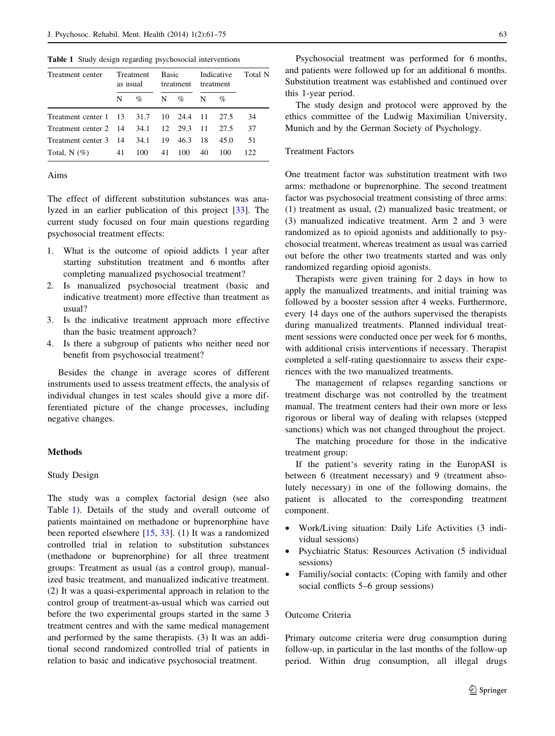<span id="page-2-0"></span>Table 1 Study design regarding psychosocial interventions

| Treatment center           | Treatment<br>as usual |      |    | Basic<br>treatment |    | Indicative<br>treatment | Total N |
|----------------------------|-----------------------|------|----|--------------------|----|-------------------------|---------|
|                            | N                     | $\%$ | N  | $\%$               | N  | $\%$                    |         |
| Treatment center 1 13 31.7 |                       |      |    | 10 24.4 11         |    | 27.5                    | 34      |
| Treatment center 2 14 34.1 |                       |      |    | 12 29 3 11         |    | 27.5                    | 37      |
| Treatment center 3 14      |                       | 34.1 | 19 | 46.3               | 18 | 45.0                    | 51      |
| Total, $N(\%)$             | 41                    | 100  | 41 | 100                | 40 | 100                     | 122     |

#### Aims

The effect of different substitution substances was analyzed in an earlier publication of this project [[33\]](#page-14-0). The current study focused on four main questions regarding psychosocial treatment effects:

- 1. What is the outcome of opioid addicts 1 year after starting substitution treatment and 6 months after completing manualized psychosocial treatment?
- 2. Is manualized psychosocial treatment (basic and indicative treatment) more effective than treatment as usual?
- 3. Is the indicative treatment approach more effective than the basic treatment approach?
- 4. Is there a subgroup of patients who neither need nor benefit from psychosocial treatment?

Besides the change in average scores of different instruments used to assess treatment effects, the analysis of individual changes in test scales should give a more differentiated picture of the change processes, including negative changes.

# **Methods**

## Study Design

The study was a complex factorial design (see also Table 1). Details of the study and overall outcome of patients maintained on methadone or buprenorphine have been reported elsewhere [\[15](#page-14-0), [33](#page-14-0)]. (1) It was a randomized controlled trial in relation to substitution substances (methadone or buprenorphine) for all three treatment groups: Treatment as usual (as a control group), manualized basic treatment, and manualized indicative treatment. (2) It was a quasi-experimental approach in relation to the control group of treatment-as-usual which was carried out before the two experimental groups started in the same 3 treatment centres and with the same medical management and performed by the same therapists. (3) It was an additional second randomized controlled trial of patients in relation to basic and indicative psychosocial treatment.

Psychosocial treatment was performed for 6 months, and patients were followed up for an additional 6 months. Substitution treatment was established and continued over this 1-year period.

The study design and protocol were approved by the ethics committee of the Ludwig Maximilian University, Munich and by the German Society of Psychology.

# Treatment Factors

One treatment factor was substitution treatment with two arms: methadone or buprenorphine. The second treatment factor was psychosocial treatment consisting of three arms: (1) treatment as usual, (2) manualized basic treatment, or (3) manualized indicative treatment. Arm 2 and 3 were randomized as to opioid agonists and additionally to psychosocial treatment, whereas treatment as usual was carried out before the other two treatments started and was only randomized regarding opioid agonists.

Therapists were given training for 2 days in how to apply the manualized treatments, and initial training was followed by a booster session after 4 weeks. Furthermore, every 14 days one of the authors supervised the therapists during manualized treatments. Planned individual treatment sessions were conducted once per week for 6 months, with additional crisis interventions if necessary. Therapist completed a self-rating questionnaire to assess their experiences with the two manualized treatments.

The management of relapses regarding sanctions or treatment discharge was not controlled by the treatment manual. The treatment centers had their own more or less rigorous or liberal way of dealing with relapses (stepped sanctions) which was not changed throughout the project.

The matching procedure for those in the indicative treatment group:

If the patient's severity rating in the EuropASI is between 6 (treatment necessary) and 9 (treatment absolutely necessary) in one of the following domains, the patient is allocated to the corresponding treatment component.

- Work/Living situation: Daily Life Activities (3 individual sessions)
- Psychiatric Status: Resources Activation (5 individual sessions)
- Familiy/social contacts: (Coping with family and other social conflicts 5–6 group sessions)

## Outcome Criteria

Primary outcome criteria were drug consumption during follow-up, in particular in the last months of the follow-up period. Within drug consumption, all illegal drugs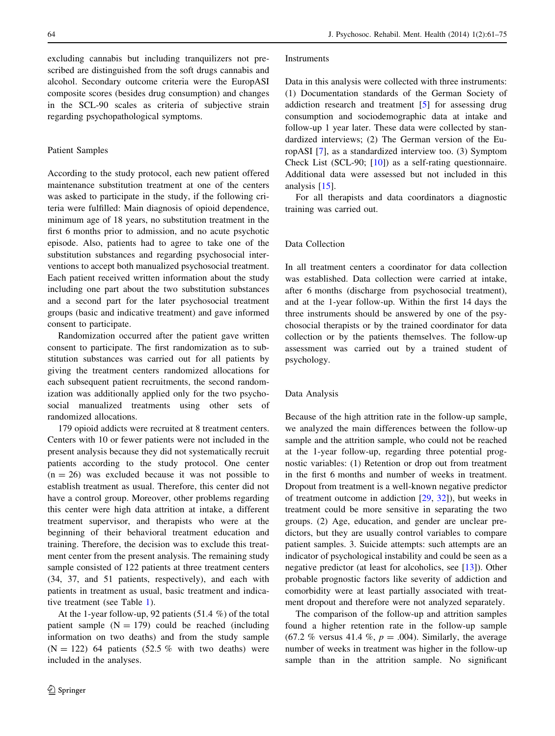excluding cannabis but including tranquilizers not prescribed are distinguished from the soft drugs cannabis and alcohol. Secondary outcome criteria were the EuropASI composite scores (besides drug consumption) and changes in the SCL-90 scales as criteria of subjective strain regarding psychopathological symptoms.

#### Patient Samples

According to the study protocol, each new patient offered maintenance substitution treatment at one of the centers was asked to participate in the study, if the following criteria were fulfilled: Main diagnosis of opioid dependence, minimum age of 18 years, no substitution treatment in the first 6 months prior to admission, and no acute psychotic episode. Also, patients had to agree to take one of the substitution substances and regarding psychosocial interventions to accept both manualized psychosocial treatment. Each patient received written information about the study including one part about the two substitution substances and a second part for the later psychosocial treatment groups (basic and indicative treatment) and gave informed consent to participate.

Randomization occurred after the patient gave written consent to participate. The first randomization as to substitution substances was carried out for all patients by giving the treatment centers randomized allocations for each subsequent patient recruitments, the second randomization was additionally applied only for the two psychosocial manualized treatments using other sets of randomized allocations.

179 opioid addicts were recruited at 8 treatment centers. Centers with 10 or fewer patients were not included in the present analysis because they did not systematically recruit patients according to the study protocol. One center  $(n = 26)$  was excluded because it was not possible to establish treatment as usual. Therefore, this center did not have a control group. Moreover, other problems regarding this center were high data attrition at intake, a different treatment supervisor, and therapists who were at the beginning of their behavioral treatment education and training. Therefore, the decision was to exclude this treatment center from the present analysis. The remaining study sample consisted of 122 patients at three treatment centers (34, 37, and 51 patients, respectively), and each with patients in treatment as usual, basic treatment and indicative treatment (see Table [1](#page-2-0)).

At the 1-year follow-up, 92 patients (51.4 %) of the total patient sample  $(N = 179)$  could be reached (including information on two deaths) and from the study sample  $(N = 122)$  64 patients (52.5 % with two deaths) were included in the analyses.

#### Instruments

Data in this analysis were collected with three instruments: (1) Documentation standards of the German Society of addiction research and treatment [\[5](#page-13-0)] for assessing drug consumption and sociodemographic data at intake and follow-up 1 year later. These data were collected by standardized interviews; (2) The German version of the EuropASI [\[7](#page-13-0)], as a standardized interview too. (3) Symptom Check List (SCL-90; [[10\]](#page-13-0)) as a self-rating questionnaire. Additional data were assessed but not included in this analysis [\[15](#page-14-0)].

For all therapists and data coordinators a diagnostic training was carried out.

# Data Collection

In all treatment centers a coordinator for data collection was established. Data collection were carried at intake, after 6 months (discharge from psychosocial treatment), and at the 1-year follow-up. Within the first 14 days the three instruments should be answered by one of the psychosocial therapists or by the trained coordinator for data collection or by the patients themselves. The follow-up assessment was carried out by a trained student of psychology.

## Data Analysis

Because of the high attrition rate in the follow-up sample, we analyzed the main differences between the follow-up sample and the attrition sample, who could not be reached at the 1-year follow-up, regarding three potential prognostic variables: (1) Retention or drop out from treatment in the first 6 months and number of weeks in treatment. Dropout from treatment is a well-known negative predictor of treatment outcome in addiction [\[29](#page-14-0), [32\]](#page-14-0)), but weeks in treatment could be more sensitive in separating the two groups. (2) Age, education, and gender are unclear predictors, but they are usually control variables to compare patient samples. 3. Suicide attempts: such attempts are an indicator of psychological instability and could be seen as a negative predictor (at least for alcoholics, see [\[13](#page-14-0)]). Other probable prognostic factors like severity of addiction and comorbidity were at least partially associated with treatment dropout and therefore were not analyzed separately.

The comparison of the follow-up and attrition samples found a higher retention rate in the follow-up sample (67.2 % versus 41.4 %,  $p = .004$ ). Similarly, the average number of weeks in treatment was higher in the follow-up sample than in the attrition sample. No significant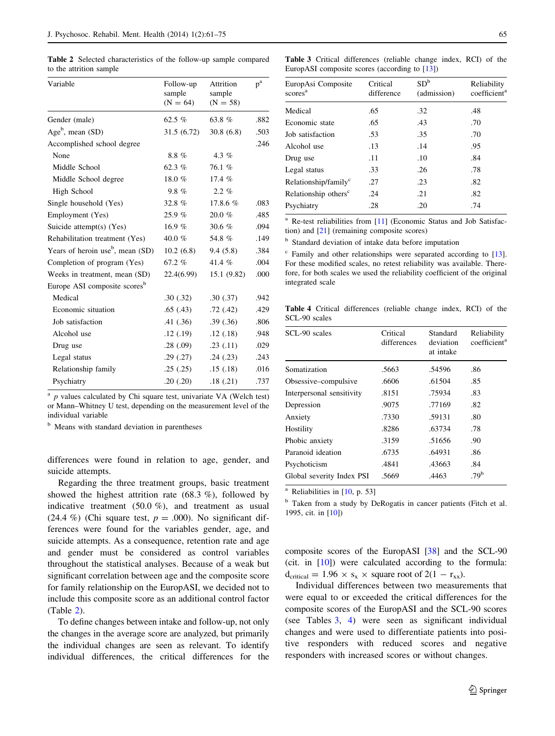<span id="page-4-0"></span>Table 2 Selected characteristics of the follow-up sample compared to the attrition sample

| Variable                                       | Follow-up<br>sample<br>$(N = 64)$ | Attrition<br>sample<br>$(N = 58)$ | $p^{\rm a}$ |
|------------------------------------------------|-----------------------------------|-----------------------------------|-------------|
| Gender (male)                                  | 62.5 %                            | 63.8%                             | .882        |
| Age <sup>b</sup> , mean (SD)                   | 31.5(6.72)                        | 30.8(6.8)                         | .503        |
| Accomplished school degree                     |                                   |                                   | .246        |
| None                                           | 8.8%                              | 4.3 $%$                           |             |
| Middle School                                  | 62.3 $%$                          | 76.1 %                            |             |
| Middle School degree                           | 18.0%                             | 17.4 $%$                          |             |
| High School                                    | $9.8 \%$                          | $2.2\%$                           |             |
| Single household (Yes)                         | 32.8%                             | 17.8.6%                           | .083        |
| Employment (Yes)                               | 25.9%                             | $20.0 \%$                         | .485        |
| Suicide attempt(s) (Yes)                       | 16.9 $%$                          | 30.6 $%$                          | .094        |
| Rehabilitation treatment (Yes)                 | 40.0 $%$                          | 54.8%                             | .149        |
| Years of heroin use <sup>b</sup> , mean $(SD)$ | 10.2(6.8)                         | 9.4(5.8)                          | .384        |
| Completion of program (Yes)                    | 67.2 $%$                          | 41.4 $%$                          | .004        |
| Weeks in treatment, mean (SD)                  | 22.4(6.99)                        | 15.1 (9.82)                       | .000        |
| Europe ASI composite scores <sup>b</sup>       |                                   |                                   |             |
| Medical                                        | .30(.32)                          | .30(.37)                          | .942        |
| Economic situation                             | .65(0.43)                         | .72(.42)                          | .429        |
| Job satisfaction                               | .41(0.36)                         | .39(.36)                          | .806        |
| Alcohol use                                    | .12(.19)                          | .12(.18)                          | .948        |
| Drug use                                       | .28(.09)                          | .23(.11)                          | .029        |
| Legal status                                   | .29(.27)                          | .24(.23)                          | .243        |
| Relationship family                            | .25(.25)                          | .15(0.18)                         | .016        |
| Psychiatry                                     | .20(.20)                          | .18(.21)                          | .737        |

 $a$  *p* values calculated by Chi square test, univariate VA (Welch test) or Mann–Whitney U test, depending on the measurement level of the individual variable

<sup>b</sup> Means with standard deviation in parentheses

differences were found in relation to age, gender, and suicide attempts.

Regarding the three treatment groups, basic treatment showed the highest attrition rate (68.3 %), followed by indicative treatment (50.0 %), and treatment as usual (24.4 %) (Chi square test,  $p = .000$ ). No significant differences were found for the variables gender, age, and suicide attempts. As a consequence, retention rate and age and gender must be considered as control variables throughout the statistical analyses. Because of a weak but significant correlation between age and the composite score for family relationship on the EuropASI, we decided not to include this composite score as an additional control factor (Table 2).

To define changes between intake and follow-up, not only the changes in the average score are analyzed, but primarily the individual changes are seen as relevant. To identify individual differences, the critical differences for the

Table 3 Critical differences (reliable change index, RCI) of the EuropASI composite scores (according to [\[13\]](#page-14-0))

| EuropAsi Composite<br>scores <sup>a</sup> | Critical<br>difference | SD <sup>b</sup><br>(admission) | Reliability<br>coefficient <sup>a</sup> |
|-------------------------------------------|------------------------|--------------------------------|-----------------------------------------|
| Medical                                   | .65                    | .32                            | .48                                     |
| Economic state                            | .65                    | .43                            | .70                                     |
| Job satisfaction                          | .53                    | .35                            | .70                                     |
| Alcohol use                               | .13                    | .14                            | .95                                     |
| Drug use                                  | .11                    | .10                            | .84                                     |
| Legal status                              | .33                    | .26                            | .78                                     |
| Relationship/family <sup>c</sup>          | .27                    | .23                            | .82                                     |
| Relationship others <sup>c</sup>          | .24                    | .21                            | .82                                     |
| Psychiatry                                | .28                    | .20                            | .74                                     |

<sup>a</sup> Re-test reliabilities from [[11](#page-14-0)] (Economic Status and Job Satisfaction) and [[21](#page-14-0)] (remaining composite scores)

<sup>b</sup> Standard deviation of intake data before imputation

<sup>c</sup> Family and other relationships were separated according to [[13](#page-14-0)]. For these modified scales, no retest reliability was available. Therefore, for both scales we used the reliability coefficient of the original integrated scale

Table 4 Critical differences (reliable change index, RCI) of the SCL-90 scales

| SCL-90 scales             | Critical<br>differences | Standard<br>deviation<br>at intake | Reliability<br>coefficient <sup>a</sup> |
|---------------------------|-------------------------|------------------------------------|-----------------------------------------|
| Somatization              | .5663                   | .54596                             | .86                                     |
| Obsessive–compulsive      | .6606                   | .61504                             | .85                                     |
| Interpersonal sensitivity | .8151                   | .75934                             | .83                                     |
| Depression                | .9075                   | .77169                             | .82                                     |
| Anxiety                   | .7330                   | .59131                             | .80                                     |
| Hostility                 | .8286                   | .63734                             | .78                                     |
| Phobic anxiety            | .3159                   | .51656                             | .90                                     |
| Paranoid ideation         | .6735                   | .64931                             | .86                                     |
| Psychoticism              | .4841                   | .43663                             | .84                                     |
| Global severity Index PSI | .5669                   | .4463                              | .79 <sup>b</sup>                        |

<sup>a</sup> Reliabilities in [[10,](#page-13-0) p. 53]

<sup>b</sup> Taken from a study by DeRogatis in cancer patients (Fitch et al. 1995, cit. in [[10](#page-13-0)])

composite scores of the EuropASI [\[38\]](#page-14-0) and the SCL-90 (cit. in [[10](#page-13-0)]) were calculated according to the formula:  $d_{critical} = 1.96 \times s_x \times square$  root of  $2(1 - r_{xx})$ .

Individual differences between two measurements that were equal to or exceeded the critical differences for the composite scores of the EuropASI and the SCL-90 scores (see Tables 3, 4) were seen as significant individual changes and were used to differentiate patients into positive responders with reduced scores and negative responders with increased scores or without changes.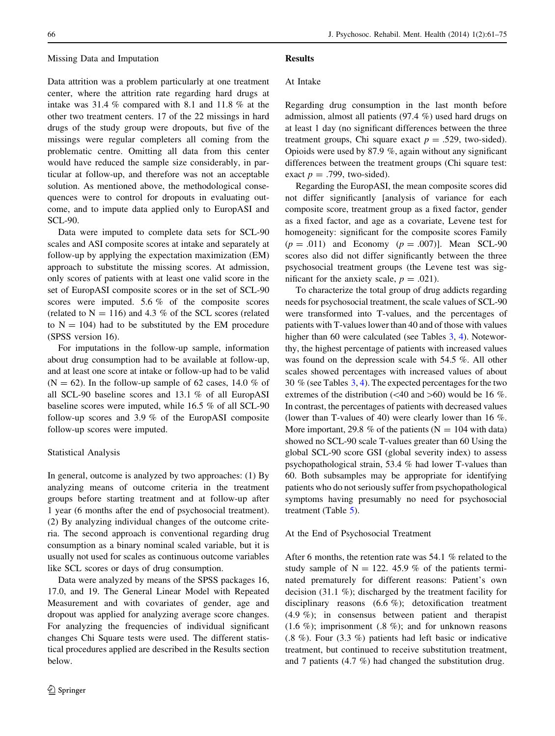#### Missing Data and Imputation

Data attrition was a problem particularly at one treatment center, where the attrition rate regarding hard drugs at intake was 31.4 % compared with 8.1 and 11.8 % at the other two treatment centers. 17 of the 22 missings in hard drugs of the study group were dropouts, but five of the missings were regular completers all coming from the problematic centre. Omitting all data from this center would have reduced the sample size considerably, in particular at follow-up, and therefore was not an acceptable solution. As mentioned above, the methodological consequences were to control for dropouts in evaluating outcome, and to impute data applied only to EuropASI and SCL-90.

Data were imputed to complete data sets for SCL-90 scales and ASI composite scores at intake and separately at follow-up by applying the expectation maximization (EM) approach to substitute the missing scores. At admission, only scores of patients with at least one valid score in the set of EuropASI composite scores or in the set of SCL-90 scores were imputed. 5.6 % of the composite scores (related to  $N = 116$ ) and 4.3 % of the SCL scores (related to  $N = 104$ ) had to be substituted by the EM procedure (SPSS version 16).

For imputations in the follow-up sample, information about drug consumption had to be available at follow-up, and at least one score at intake or follow-up had to be valid (N = 62). In the follow-up sample of 62 cases, 14.0 % of all SCL-90 baseline scores and 13.1 % of all EuropASI baseline scores were imputed, while 16.5 % of all SCL-90 follow-up scores and 3.9 % of the EuropASI composite follow-up scores were imputed.

## Statistical Analysis

In general, outcome is analyzed by two approaches: (1) By analyzing means of outcome criteria in the treatment groups before starting treatment and at follow-up after 1 year (6 months after the end of psychosocial treatment). (2) By analyzing individual changes of the outcome criteria. The second approach is conventional regarding drug consumption as a binary nominal scaled variable, but it is usually not used for scales as continuous outcome variables like SCL scores or days of drug consumption.

Data were analyzed by means of the SPSS packages 16, 17.0, and 19. The General Linear Model with Repeated Measurement and with covariates of gender, age and dropout was applied for analyzing average score changes. For analyzing the frequencies of individual significant changes Chi Square tests were used. The different statistical procedures applied are described in the Results section below.

# Results

# At Intake

Regarding drug consumption in the last month before admission, almost all patients (97.4 %) used hard drugs on at least 1 day (no significant differences between the three treatment groups, Chi square exact  $p = .529$ , two-sided). Opioids were used by 87.9 %, again without any significant differences between the treatment groups (Chi square test: exact  $p = .799$ , two-sided).

Regarding the EuropASI, the mean composite scores did not differ significantly [analysis of variance for each composite score, treatment group as a fixed factor, gender as a fixed factor, and age as a covariate, Levene test for homogeneity: significant for the composite scores Family  $(p = .011)$  and Economy  $(p = .007)$ ]. Mean SCL-90 scores also did not differ significantly between the three psychosocial treatment groups (the Levene test was significant for the anxiety scale,  $p = .021$ .

To characterize the total group of drug addicts regarding needs for psychosocial treatment, the scale values of SCL-90 were transformed into T-values, and the percentages of patients with T-values lower than 40 and of those with values higher than 60 were calculated (see Tables [3,](#page-4-0) [4\)](#page-4-0). Noteworthy, the highest percentage of patients with increased values was found on the depression scale with 54.5 %. All other scales showed percentages with increased values of about 30 % (see Tables [3,](#page-4-0) [4](#page-4-0)). The expected percentages for the two extremes of the distribution ( $\langle 40 \text{ and } > 60 \rangle$ ) would be 16 %. In contrast, the percentages of patients with decreased values (lower than T-values of 40) were clearly lower than 16 %. More important, 29.8 % of the patients ( $N = 104$  with data) showed no SCL-90 scale T-values greater than 60 Using the global SCL-90 score GSI (global severity index) to assess psychopathological strain, 53.4 % had lower T-values than 60. Both subsamples may be appropriate for identifying patients who do not seriously suffer from psychopathological symptoms having presumably no need for psychosocial treatment (Table [5](#page-6-0)).

At the End of Psychosocial Treatment

After 6 months, the retention rate was 54.1 % related to the study sample of  $N = 122$ . 45.9 % of the patients terminated prematurely for different reasons: Patient's own decision (31.1 %); discharged by the treatment facility for disciplinary reasons (6.6 %); detoxification treatment (4.9 %); in consensus between patient and therapist (1.6 %); imprisonment (.8 %); and for unknown reasons (.8 %). Four (3.3 %) patients had left basic or indicative treatment, but continued to receive substitution treatment, and 7 patients (4.7 %) had changed the substitution drug.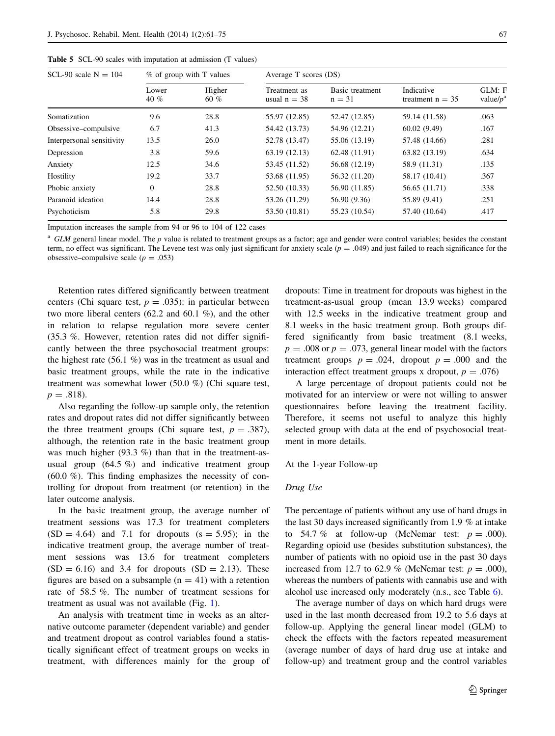| SCL-90 scale $N = 104$    |                 | % of group with T values | Average T scores (DS)          |                             |                                  |                        |  |  |  |
|---------------------------|-----------------|--------------------------|--------------------------------|-----------------------------|----------------------------------|------------------------|--|--|--|
|                           | Lower<br>40 $%$ | Higher<br>$60 \%$        | Treatment as<br>usual $n = 38$ | Basic treatment<br>$n = 31$ | Indicative<br>treatment $n = 35$ | GLM: F<br>value/ $p^a$ |  |  |  |
| Somatization              | 9.6             | 28.8                     | 55.97 (12.85)                  | 52.47 (12.85)               | 59.14 (11.58)                    | .063                   |  |  |  |
| Obsessive-compulsive      | 6.7             | 41.3                     | 54.42 (13.73)                  | 54.96 (12.21)               | 60.02(9.49)                      | .167                   |  |  |  |
| Interpersonal sensitivity | 13.5            | 26.0                     | 52.78 (13.47)                  | 55.06 (13.19)               | 57.48 (14.66)                    | .281                   |  |  |  |
| Depression                | 3.8             | 59.6                     | 63.19 (12.13)                  | 62.48 (11.91)               | 63.82 (13.19)                    | .634                   |  |  |  |
| Anxiety                   | 12.5            | 34.6                     | 53.45 (11.52)                  | 56.68 (12.19)               | 58.9 (11.31)                     | .135                   |  |  |  |
| Hostility                 | 19.2            | 33.7                     | 53.68 (11.95)                  | 56.32 (11.20)               | 58.17 (10.41)                    | .367                   |  |  |  |
| Phobic anxiety            | $\mathbf{0}$    | 28.8                     | 52.50 (10.33)                  | 56.90 (11.85)               | 56.65 (11.71)                    | .338                   |  |  |  |
| Paranoid ideation         | 14.4            | 28.8                     | 53.26 (11.29)                  | 56.90 (9.36)                | 55.89 (9.41)                     | .251                   |  |  |  |
| Psychoticism              | 5.8             | 29.8                     | 53.50 (10.81)                  | 55.23 (10.54)               | 57.40 (10.64)                    | .417                   |  |  |  |

<span id="page-6-0"></span>Table 5 SCL-90 scales with imputation at admission (T values)

Imputation increases the sample from 94 or 96 to 104 of 122 cases

 $a$  GLM general linear model. The p value is related to treatment groups as a factor; age and gender were control variables; besides the constant term, no effect was significant. The Levene test was only just significant for anxiety scale ( $p = .049$ ) and just failed to reach significance for the obsessive–compulsive scale ( $p = .053$ )

Retention rates differed significantly between treatment centers (Chi square test,  $p = .035$ ): in particular between two more liberal centers (62.2 and 60.1 %), and the other in relation to relapse regulation more severe center (35.3 %. However, retention rates did not differ significantly between the three psychosocial treatment groups: the highest rate  $(56.1 \%)$  was in the treatment as usual and basic treatment groups, while the rate in the indicative treatment was somewhat lower (50.0 %) (Chi square test,  $p = .818$ ).

Also regarding the follow-up sample only, the retention rates and dropout rates did not differ significantly between the three treatment groups (Chi square test,  $p = .387$ ), although, the retention rate in the basic treatment group was much higher (93.3 %) than that in the treatment-asusual group (64.5 %) and indicative treatment group  $(60.0\%)$ . This finding emphasizes the necessity of controlling for dropout from treatment (or retention) in the later outcome analysis.

In the basic treatment group, the average number of treatment sessions was 17.3 for treatment completers  $(SD = 4.64)$  and 7.1 for dropouts  $(s = 5.95)$ ; in the indicative treatment group, the average number of treatment sessions was 13.6 for treatment completers  $(SD = 6.16)$  and 3.4 for dropouts  $(SD = 2.13)$ . These figures are based on a subsample  $(n = 41)$  with a retention rate of 58.5 %. The number of treatment sessions for treatment as usual was not available (Fig. [1](#page-7-0)).

An analysis with treatment time in weeks as an alternative outcome parameter (dependent variable) and gender and treatment dropout as control variables found a statistically significant effect of treatment groups on weeks in treatment, with differences mainly for the group of dropouts: Time in treatment for dropouts was highest in the treatment-as-usual group (mean 13.9 weeks) compared with 12.5 weeks in the indicative treatment group and 8.1 weeks in the basic treatment group. Both groups differed significantly from basic treatment (8.1 weeks,  $p = .008$  or  $p = .073$ , general linear model with the factors treatment groups  $p = .024$ , dropout  $p = .000$  and the interaction effect treatment groups x dropout,  $p = .076$ )

A large percentage of dropout patients could not be motivated for an interview or were not willing to answer questionnaires before leaving the treatment facility. Therefore, it seems not useful to analyze this highly selected group with data at the end of psychosocial treatment in more details.

## At the 1-year Follow-up

## Drug Use

The percentage of patients without any use of hard drugs in the last 30 days increased significantly from 1.9 % at intake to 54.7 % at follow-up (McNemar test:  $p = .000$ ). Regarding opioid use (besides substitution substances), the number of patients with no opioid use in the past 30 days increased from 12.7 to 62.9 % (McNemar test:  $p = .000$ ), whereas the numbers of patients with cannabis use and with alcohol use increased only moderately (n.s., see Table [6](#page-8-0)).

The average number of days on which hard drugs were used in the last month decreased from 19.2 to 5.6 days at follow-up. Applying the general linear model (GLM) to check the effects with the factors repeated measurement (average number of days of hard drug use at intake and follow-up) and treatment group and the control variables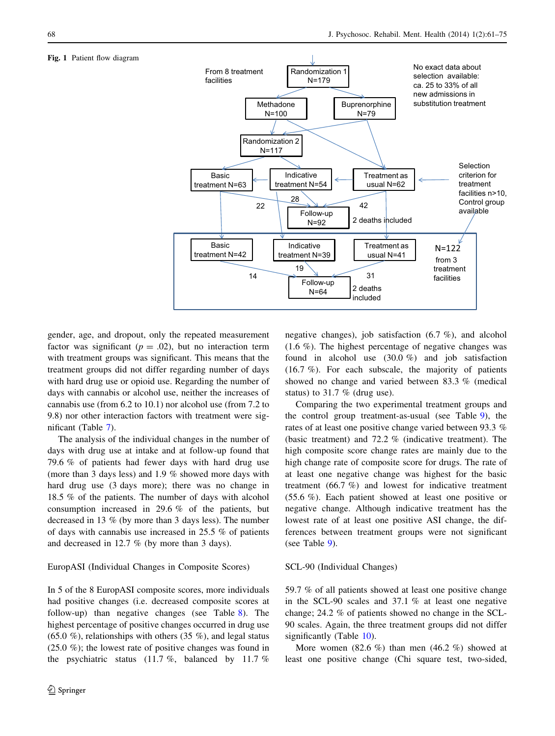#### <span id="page-7-0"></span>Fig. 1 Patient flow diagram



gender, age, and dropout, only the repeated measurement factor was significant ( $p = .02$ ), but no interaction term with treatment groups was significant. This means that the treatment groups did not differ regarding number of days with hard drug use or opioid use. Regarding the number of days with cannabis or alcohol use, neither the increases of cannabis use (from 6.2 to 10.1) nor alcohol use (from 7.2 to 9.8) nor other interaction factors with treatment were significant (Table [7\)](#page-9-0).

The analysis of the individual changes in the number of days with drug use at intake and at follow-up found that 79.6 % of patients had fewer days with hard drug use (more than 3 days less) and 1.9 % showed more days with hard drug use (3 days more); there was no change in 18.5 % of the patients. The number of days with alcohol consumption increased in 29.6 % of the patients, but decreased in 13 % (by more than 3 days less). The number of days with cannabis use increased in 25.5 % of patients and decreased in 12.7 % (by more than 3 days).

# EuropASI (Individual Changes in Composite Scores)

In 5 of the 8 EuropASI composite scores, more individuals had positive changes (i.e. decreased composite scores at follow-up) than negative changes (see Table [8\)](#page-10-0). The highest percentage of positive changes occurred in drug use  $(65.0 \%)$ , relationships with others  $(35 \%)$ , and legal status (25.0 %); the lowest rate of positive changes was found in the psychiatric status (11.7 %, balanced by 11.7 % negative changes), job satisfaction (6.7 %), and alcohol (1.6 %). The highest percentage of negative changes was found in alcohol use (30.0 %) and job satisfaction (16.7 %). For each subscale, the majority of patients showed no change and varied between 83.3 % (medical status) to 31.7 % (drug use).

Comparing the two experimental treatment groups and the control group treatment-as-usual (see Table [9](#page-10-0)), the rates of at least one positive change varied between 93.3 % (basic treatment) and 72.2 % (indicative treatment). The high composite score change rates are mainly due to the high change rate of composite score for drugs. The rate of at least one negative change was highest for the basic treatment (66.7 %) and lowest for indicative treatment (55.6 %). Each patient showed at least one positive or negative change. Although indicative treatment has the lowest rate of at least one positive ASI change, the differences between treatment groups were not significant (see Table [9\)](#page-10-0).

## SCL-90 (Individual Changes)

59.7 % of all patients showed at least one positive change in the SCL-90 scales and 37.1 % at least one negative change; 24.2 % of patients showed no change in the SCL-90 scales. Again, the three treatment groups did not differ significantly (Table [10](#page-10-0)).

More women (82.6 %) than men (46.2 %) showed at least one positive change (Chi square test, two-sided,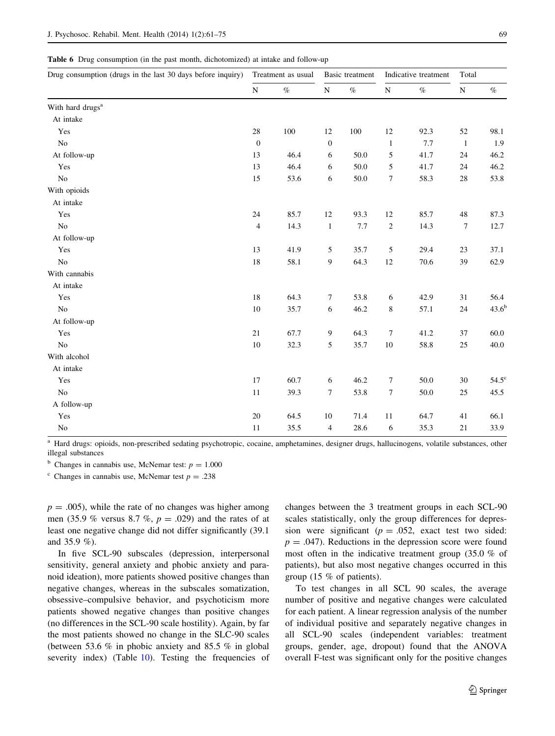<span id="page-8-0"></span>Table 6 Drug consumption (in the past month, dichotomized) at intake and follow-up

| Drug consumption (drugs in the last 30 days before inquiry) | Treatment as usual |      |                  | Basic treatment |                  | Indicative treatment |              | Total        |  |
|-------------------------------------------------------------|--------------------|------|------------------|-----------------|------------------|----------------------|--------------|--------------|--|
|                                                             | ${\bf N}$          | $\%$ | ${\bf N}$        | $\%$            | ${\bf N}$        | $\%$                 | ${\bf N}$    | $\%$         |  |
| With hard drugs <sup>a</sup>                                |                    |      |                  |                 |                  |                      |              |              |  |
| At intake                                                   |                    |      |                  |                 |                  |                      |              |              |  |
| Yes                                                         | 28                 | 100  | 12               | 100             | $12\,$           | 92.3                 | $52\,$       | 98.1         |  |
| $\rm No$                                                    | $\boldsymbol{0}$   |      | $\boldsymbol{0}$ |                 | $\mathbf{1}$     | 7.7                  | $\mathbf{1}$ | 1.9          |  |
| At follow-up                                                | 13                 | 46.4 | 6                | 50.0            | 5                | 41.7                 | 24           | 46.2         |  |
| Yes                                                         | 13                 | 46.4 | 6                | 50.0            | 5                | 41.7                 | 24           | 46.2         |  |
| No                                                          | 15                 | 53.6 | 6                | 50.0            | $\tau$           | 58.3                 | $28\,$       | 53.8         |  |
| With opioids                                                |                    |      |                  |                 |                  |                      |              |              |  |
| At intake                                                   |                    |      |                  |                 |                  |                      |              |              |  |
| Yes                                                         | 24                 | 85.7 | $12\,$           | 93.3            | $12\,$           | 85.7                 | $48\,$       | 87.3         |  |
| No                                                          | $\overline{4}$     | 14.3 | $\mathbf{1}$     | $7.7\,$         | $\sqrt{2}$       | 14.3                 | 7            | 12.7         |  |
| At follow-up                                                |                    |      |                  |                 |                  |                      |              |              |  |
| Yes                                                         | 13                 | 41.9 | 5                | 35.7            | 5                | 29.4                 | 23           | 37.1         |  |
| No                                                          | 18                 | 58.1 | $\overline{9}$   | 64.3            | $12\,$           | 70.6                 | 39           | 62.9         |  |
| With cannabis                                               |                    |      |                  |                 |                  |                      |              |              |  |
| At intake                                                   |                    |      |                  |                 |                  |                      |              |              |  |
| Yes                                                         | $18\,$             | 64.3 | $\tau$           | 53.8            | $\boldsymbol{6}$ | 42.9                 | $31\,$       | 56.4         |  |
| $\rm No$                                                    | $10\,$             | 35.7 | $\sqrt{6}$       | 46.2            | 8                | 57.1                 | 24           | $43.6^{b}$   |  |
| At follow-up                                                |                    |      |                  |                 |                  |                      |              |              |  |
| Yes                                                         | 21                 | 67.7 | $\overline{9}$   | 64.3            | $\tau$           | 41.2                 | 37           | 60.0         |  |
| No                                                          | $10\,$             | 32.3 | $\mathfrak s$    | 35.7            | 10               | 58.8                 | $25\,$       | 40.0         |  |
| With alcohol                                                |                    |      |                  |                 |                  |                      |              |              |  |
| At intake                                                   |                    |      |                  |                 |                  |                      |              |              |  |
| Yes                                                         | $17\,$             | 60.7 | 6                | 46.2            | 7                | 50.0                 | $30\,$       | $54.5^\circ$ |  |
| No                                                          | 11                 | 39.3 | 7                | 53.8            | $\tau$           | 50.0                 | $25\,$       | 45.5         |  |
| A follow-up                                                 |                    |      |                  |                 |                  |                      |              |              |  |
| Yes                                                         | 20                 | 64.5 | $10\,$           | 71.4            | 11               | 64.7                 | 41           | 66.1         |  |
| $\rm No$                                                    | 11                 | 35.5 | $\overline{4}$   | 28.6            | $\sqrt{6}$       | 35.3                 | 21           | 33.9         |  |

<sup>a</sup> Hard drugs: opioids, non-prescribed sedating psychotropic, cocaine, amphetamines, designer drugs, hallucinogens, volatile substances, other illegal substances

 $<sup>b</sup>$  Changes in cannabis use, McNemar test:  $p = 1.000$ </sup>

<sup>c</sup> Changes in cannabis use, McNemar test  $p = .238$ 

 $p = .005$ ), while the rate of no changes was higher among men (35.9 % versus 8.7 %,  $p = .029$ ) and the rates of at least one negative change did not differ significantly (39.1 and 35.9 %).

In five SCL-90 subscales (depression, interpersonal sensitivity, general anxiety and phobic anxiety and paranoid ideation), more patients showed positive changes than negative changes, whereas in the subscales somatization, obsessive–compulsive behavior, and psychoticism more patients showed negative changes than positive changes (no differences in the SCL-90 scale hostility). Again, by far the most patients showed no change in the SLC-90 scales (between 53.6 % in phobic anxiety and 85.5 % in global severity index) (Table [10\)](#page-10-0). Testing the frequencies of changes between the 3 treatment groups in each SCL-90 scales statistically, only the group differences for depression were significant ( $p = .052$ , exact test two sided:  $p = .047$ ). Reductions in the depression score were found most often in the indicative treatment group (35.0 % of patients), but also most negative changes occurred in this group (15 % of patients).

To test changes in all SCL 90 scales, the average number of positive and negative changes were calculated for each patient. A linear regression analysis of the number of individual positive and separately negative changes in all SCL-90 scales (independent variables: treatment groups, gender, age, dropout) found that the ANOVA overall F-test was significant only for the positive changes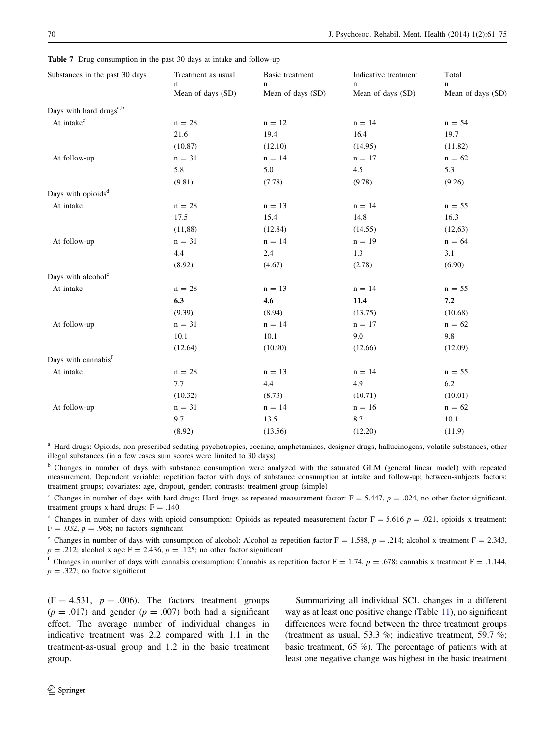| Substances in the past 30 days      | Treatment as usual<br>n<br>Mean of days (SD) | Basic treatment<br>n<br>Mean of days (SD) | Indicative treatment<br>n<br>Mean of days (SD) | Total<br>n<br>Mean of days (SD) |
|-------------------------------------|----------------------------------------------|-------------------------------------------|------------------------------------------------|---------------------------------|
| Days with hard drugs <sup>a,b</sup> |                                              |                                           |                                                |                                 |
| At intake <sup>c</sup>              | $n = 28$                                     | $n = 12$                                  | $n = 14$                                       | $n = 54$                        |
|                                     | 21.6                                         | 19.4                                      | 16.4                                           | 19.7                            |
|                                     | (10.87)                                      | (12.10)                                   | (14.95)                                        | (11.82)                         |
| At follow-up                        | $n = 31$                                     | $n = 14$                                  | $n = 17$                                       | $n = 62$                        |
|                                     | 5.8                                          | 5.0                                       | 4.5                                            | 5.3                             |
|                                     | (9.81)                                       | (7.78)                                    | (9.78)                                         | (9.26)                          |
| Days with opioids <sup>d</sup>      |                                              |                                           |                                                |                                 |
| At intake                           | $n = 28$                                     | $n = 13$                                  | $n = 14$                                       | $n = 55$                        |
|                                     | 17.5                                         | 15.4                                      | 14.8                                           | 16.3                            |
|                                     | (11,88)                                      | (12.84)                                   | (14.55)                                        | (12,63)                         |
| At follow-up                        | $\rm n=31$                                   | $n = 14$                                  | $\rm n=19$                                     | $n = 64$                        |
|                                     | 4.4                                          | 2.4                                       | 1.3                                            | 3.1                             |
|                                     | (8,92)                                       | (4.67)                                    | (2.78)                                         | (6.90)                          |
| Days with alcohol <sup>e</sup>      |                                              |                                           |                                                |                                 |
| At intake                           | $\rm n=28$                                   | $n = 13$                                  | $n = 14$                                       | $n = 55$                        |
|                                     | 6.3                                          | 4.6                                       | 11.4                                           | 7.2                             |
|                                     | (9.39)                                       | (8.94)                                    | (13.75)                                        | (10.68)                         |
| At follow-up                        | $n = 31$                                     | $n = 14$                                  | $n = 17$                                       | $n = 62$                        |
|                                     | 10.1                                         | 10.1                                      | 9.0                                            | 9.8                             |
|                                     | (12.64)                                      | (10.90)                                   | (12.66)                                        | (12.09)                         |
| Days with cannabis <sup>f</sup>     |                                              |                                           |                                                |                                 |
| At intake                           | $n = 28$                                     | $n = 13$                                  | $n = 14$                                       | $n = 55$                        |
|                                     | 7.7                                          | 4.4                                       | 4.9                                            | 6.2                             |
|                                     | (10.32)                                      | (8.73)                                    | (10.71)                                        | (10.01)                         |
| At follow-up                        | $n = 31$                                     | $n = 14$                                  | $n = 16$                                       | $n = 62$                        |
|                                     | 9.7                                          | 13.5                                      | 8.7                                            | 10.1                            |
|                                     | (8.92)                                       | (13.56)                                   | (12.20)                                        | (11.9)                          |

<span id="page-9-0"></span>Table 7 Drug consumption in the past 30 days at intake and follow-up

<sup>a</sup> Hard drugs: Opioids, non-prescribed sedating psychotropics, cocaine, amphetamines, designer drugs, hallucinogens, volatile substances, other illegal substances (in a few cases sum scores were limited to 30 days)

<sup>b</sup> Changes in number of days with substance consumption were analyzed with the saturated GLM (general linear model) with repeated measurement. Dependent variable: repetition factor with days of substance consumption at intake and follow-up; between-subjects factors: treatment groups; covariates: age, dropout, gender; contrasts: treatment group (simple)

<sup>c</sup> Changes in number of days with hard drugs: Hard drugs as repeated measurement factor:  $F = 5.447$ ,  $p = .024$ , no other factor significant, treatment groups x hard drugs:  $F = .140$ 

<sup>d</sup> Changes in number of days with opioid consumption: Opioids as repeated measurement factor  $F = 5.616$   $p = .021$ , opioids x treatment:  $F = .032$ ,  $p = .968$ ; no factors significant

<sup>e</sup> Changes in number of days with consumption of alcohol: Alcohol as repetition factor  $F = 1.588$ ,  $p = .214$ ; alcohol x treatment  $F = 2.343$ ,  $p = .212$ ; alcohol x age F = 2.436,  $p = .125$ ; no other factor significant

<sup>f</sup> Changes in number of days with cannabis consumption: Cannabis as repetition factor  $F = 1.74$ ,  $p = .678$ ; cannabis x treatment  $F = .1.144$ ,  $p = .327$ ; no factor significant

 $(F = 4.531, p = .006)$ . The factors treatment groups  $(p = .017)$  and gender  $(p = .007)$  both had a significant effect. The average number of individual changes in indicative treatment was 2.2 compared with 1.1 in the treatment-as-usual group and 1.2 in the basic treatment group.

Summarizing all individual SCL changes in a different way as at least one positive change (Table [11](#page-10-0)), no significant differences were found between the three treatment groups (treatment as usual, 53.3 %; indicative treatment, 59.7 %; basic treatment, 65 %). The percentage of patients with at least one negative change was highest in the basic treatment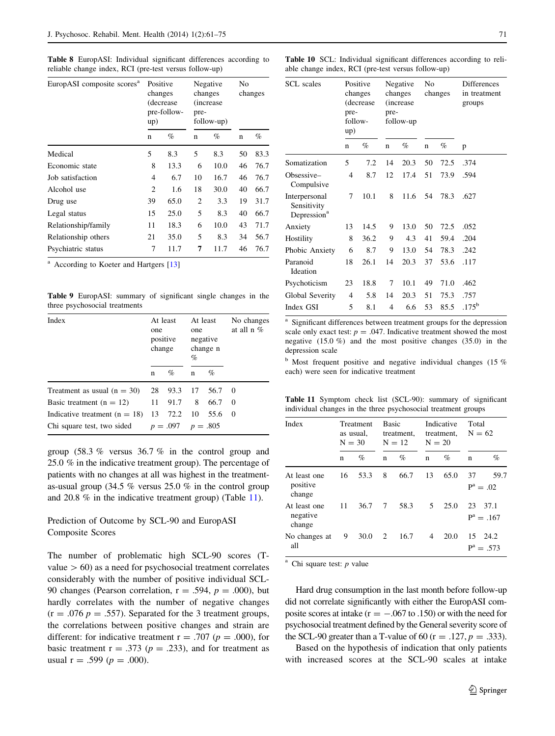| EuropASI composite scores <sup>a</sup> | Positive<br>changes<br>up) | (decrease<br>pre-follow- | changes<br>pre- | Negative<br><i>(increase)</i><br>follow-up) | No | changes |  |
|----------------------------------------|----------------------------|--------------------------|-----------------|---------------------------------------------|----|---------|--|
|                                        | n                          | %                        | n               | $\%$                                        | n  | %       |  |
| Medical                                | 5                          | 8.3                      | 5               | 8.3                                         | 50 | 83.3    |  |
| Economic state                         | 8                          | 13.3                     | 6               | 10.0                                        | 46 | 76.7    |  |
| Job satisfaction                       | 4                          | 6.7                      | 10              | 16.7                                        | 46 | 76.7    |  |
| Alcohol use                            | 2                          | 1.6                      | 18              | 30.0                                        | 40 | 66.7    |  |
| Drug use                               | 39                         | 65.0                     | 2               | 3.3                                         | 19 | 31.7    |  |
| Legal status                           | 15                         | 25.0                     | 5               | 8.3                                         | 40 | 66.7    |  |
| Relationship/family                    | 11                         | 18.3                     | 6               | 10.0                                        | 43 | 71.7    |  |
| Relationship others                    | 21                         | 35.0                     | 5               | 8.3                                         | 34 | 56.7    |  |
| Psychiatric status                     | 7                          | 11.7                     | 7               | 11.7                                        | 46 | 76.7    |  |

<span id="page-10-0"></span>Table 8 EuropASI: Individual significant differences according to reliable change index, RCI (pre-test versus follow-up)

<sup>a</sup> According to Koeter and Hartgers [\[13\]](#page-14-0)

Table 9 EuropASI: summary of significant single changes in the three psychosocial treatments

| Index                                      |    | At least<br>one<br>positive<br>change | one<br>% | At least<br>negative<br>change n | No changes<br>at all $n$ % |
|--------------------------------------------|----|---------------------------------------|----------|----------------------------------|----------------------------|
|                                            | n  | $\%$                                  | n        | $\%$                             |                            |
| Treatment as usual $(n = 30)$              | 28 | 93.3 17                               |          | 56.7 0                           |                            |
| Basic treatment $(n = 12)$                 |    | 11 91.7 8                             |          | 66.7                             | $\Omega$                   |
| Indicative treatment $(n = 18)$ 13 72.2 10 |    |                                       |          | 55.6                             | - 0                        |
| Chi square test, two sided                 |    | $p = .097$ $p = .805$                 |          |                                  |                            |

group (58.3 % versus 36.7 % in the control group and 25.0 % in the indicative treatment group). The percentage of patients with no changes at all was highest in the treatmentas-usual group (34.5 % versus 25.0 % in the control group and 20.8 % in the indicative treatment group) (Table 11).

# Prediction of Outcome by SCL-90 and EuropASI Composite Scores

The number of problematic high SCL-90 scores (Tvalue  $> 60$ ) as a need for psychosocial treatment correlates considerably with the number of positive individual SCL-90 changes (Pearson correlation,  $r = .594$ ,  $p = .000$ ), but hardly correlates with the number of negative changes  $(r = .076 p = .557)$ . Separated for the 3 treatment groups, the correlations between positive changes and strain are different: for indicative treatment  $r = .707$  ( $p = .000$ ), for basic treatment  $r = .373$  ( $p = .233$ ), and for treatment as usual  $r = .599$  ( $p = .000$ ).

Table 10 SCL: Individual significant differences according to reliable change index, RCI (pre-test versus follow-up)

| SCL scales                                              | pre-<br>follow-<br>up) | Positive<br>changes<br>(decrease) | pre-           | Negative<br>changes<br><i>(increase)</i><br>follow-up | No<br>changes |      | Differences<br>in treatment<br>groups |  |
|---------------------------------------------------------|------------------------|-----------------------------------|----------------|-------------------------------------------------------|---------------|------|---------------------------------------|--|
|                                                         | n                      | $\%$                              | $\mathbf n$    | $\%$                                                  | $\mathbf n$   | %    | p                                     |  |
| Somatization                                            | 5                      | 7.2                               | 14             | 20.3                                                  | 50            | 72.5 | .374                                  |  |
| Obsessive-<br>Compulsive                                | 4                      | 8.7                               | 12             | 17.4                                                  | 51            | 73.9 | .594                                  |  |
| Interpersonal<br>Sensitivity<br>Depression <sup>a</sup> | 7                      | 10.1                              | 8              | 11.6                                                  | 54            | 78.3 | .627                                  |  |
| Anxiety                                                 | 13                     | 14.5                              | 9              | 13.0                                                  | 50            | 72.5 | .052                                  |  |
| Hostility                                               | 8                      | 36.2                              | 9              | 4.3                                                   | 41            | 59.4 | .204                                  |  |
| Phobic Anxiety                                          | 6                      | 8.7                               | 9              | 13.0                                                  | 54            | 78.3 | .242                                  |  |
| Paranoid<br>Ideation                                    | 18                     | 26.1                              | 14             | 20.3                                                  | 37            | 53.6 | .117                                  |  |
| Psychoticism                                            | 23                     | 18.8                              | 7              | 10.1                                                  | 49            | 71.0 | .462                                  |  |
| Global Severity                                         | 4                      | 5.8                               | 14             | 20.3                                                  | 51            | 75.3 | .757                                  |  |
| Index GSI                                               | 5                      | 8.1                               | $\overline{4}$ | 6.6                                                   | 53            | 85.5 | $.175^{\rm b}$                        |  |

<sup>a</sup> Significant differences between treatment groups for the depression scale only exact test:  $p = .047$ . Indicative treatment showed the most negative (15.0 %) and the most positive changes (35.0) in the depression scale

 $<sup>b</sup>$  Most frequent positive and negative individual changes (15 %</sup> each) were seen for indicative treatment

Table 11 Symptom check list (SCL-90): summary of significant individual changes in the three psychosocial treatment groups

| Index                              | $N = 30$ | Treatment<br>as usual, |   | <b>Basic</b><br>treatment,<br>$N = 12$ |                | Indicative<br>treatment,<br>$N = 20$ |                   | Total<br>$N = 62$    |  |
|------------------------------------|----------|------------------------|---|----------------------------------------|----------------|--------------------------------------|-------------------|----------------------|--|
|                                    | n        | $\%$                   | n | $\%$                                   | n              | $\%$                                 | n                 | $\%$                 |  |
| At least one<br>positive<br>change | 16       | 53.3                   | 8 | 66.7                                   | 13             | 65.0                                 | 37<br>$P^a = .02$ | 59.7                 |  |
| At least one<br>negative<br>change | 11       | 36.7                   | 7 | 58.3                                   | 5              | 25.0                                 | 23                | 37.1<br>$P^a = .167$ |  |
| No changes at<br>all               | 9        | 30.0                   | 2 | 16.7                                   | $\overline{4}$ | 20.0                                 | 15                | 24.2<br>$P^a = .573$ |  |

Chi square test:  $p$  value

Hard drug consumption in the last month before follow-up did not correlate significantly with either the EuropASI composite scores at intake ( $r = -.067$  to .150) or with the need for psychosocial treatment defined by the General severity score of the SCL-90 greater than a T-value of 60 ( $r = .127$ ,  $p = .333$ ).

Based on the hypothesis of indication that only patients with increased scores at the SCL-90 scales at intake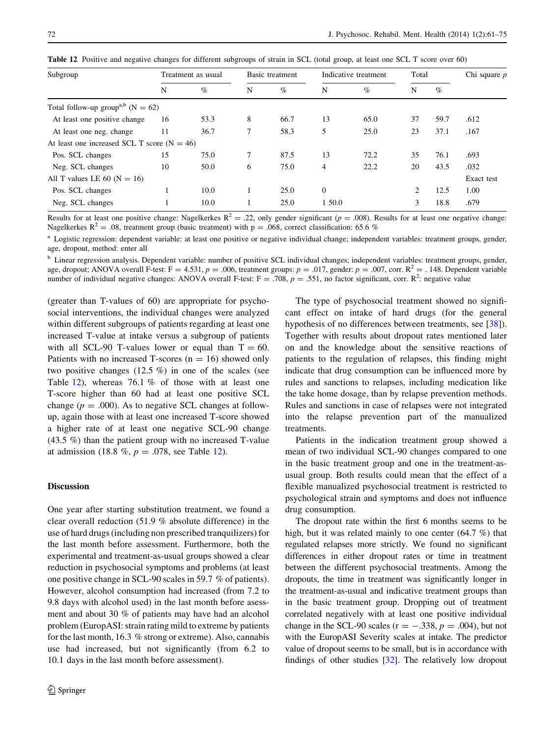| Subgroup                                          |    | Treatment as usual | Indicative treatment<br>Basic treatment |      | Total    |      | Chi square $p$ |      |            |
|---------------------------------------------------|----|--------------------|-----------------------------------------|------|----------|------|----------------|------|------------|
|                                                   | N  | $\%$               | N                                       | $\%$ | N        | $\%$ | N              | $\%$ |            |
| Total follow-up group <sup>a,b</sup> ( $N = 62$ ) |    |                    |                                         |      |          |      |                |      |            |
| At least one positive change                      | 16 | 53.3               | 8                                       | 66.7 | 13       | 65.0 | 37             | 59.7 | .612       |
| At least one neg. change                          | 11 | 36.7               | 7                                       | 58.3 | 5        | 25.0 | 23             | 37.1 | .167       |
| At least one increased SCL T score ( $N = 46$ )   |    |                    |                                         |      |          |      |                |      |            |
| Pos. SCL changes                                  | 15 | 75.0               | 7                                       | 87.5 | 13       | 72.2 | 35             | 76.1 | .693       |
| Neg. SCL changes                                  | 10 | 50.0               | 6                                       | 75.0 | 4        | 22.2 | 20             | 43.5 | .032       |
| All T values LE 60 ( $N = 16$ )                   |    |                    |                                         |      |          |      |                |      | Exact test |
| Pos. SCL changes                                  |    | 10.0               |                                         | 25.0 | $\Omega$ |      | 2              | 12.5 | 1.00       |
| Neg. SCL changes                                  |    | 10.0               |                                         | 25.0 | 1 50.0   |      | 3              | 18.8 | .679       |
|                                                   |    |                    |                                         |      |          |      |                |      |            |

Table 12 Positive and negative changes for different subgroups of strain in SCL (total group, at least one SCL T score over 60)

Results for at least one positive change: Nagelkerkes  $R^2 = .22$ , only gender significant ( $p = .008$ ). Results for at least one negative change: Nagelkerkes  $R^2 = .08$ , treatment group (basic treatment) with  $p = .068$ , correct classification: 65.6 %

<sup>a</sup> Logistic regression: dependent variable: at least one positive or negative individual change; independent variables: treatment groups, gender, age, dropout, method: enter all

<sup>b</sup> Linear regression analysis. Dependent variable: number of positive SCL individual changes; independent variables: treatment groups, gender, age, dropout; ANOVA overall F-test: F = 4.531, p = .006, treatment groups: p = .017, gender: p = .007, corr.  $R^2$  = .148. Dependent variable number of individual negative changes: ANOVA overall F-test:  $F = .708$ ,  $p = .551$ , no factor significant, corr.  $R^2$ : negative value

(greater than T-values of 60) are appropriate for psychosocial interventions, the individual changes were analyzed within different subgroups of patients regarding at least one increased T-value at intake versus a subgroup of patients with all SCL-90 T-values lower or equal than  $T = 60$ . Patients with no increased T-scores  $(n = 16)$  showed only two positive changes (12.5 %) in one of the scales (see Table 12), whereas 76.1 % of those with at least one T-score higher than 60 had at least one positive SCL change ( $p = .000$ ). As to negative SCL changes at followup, again those with at least one increased T-score showed a higher rate of at least one negative SCL-90 change (43.5 %) than the patient group with no increased T-value at admission (18.8 %,  $p = .078$ , see Table 12).

# Discussion

One year after starting substitution treatment, we found a clear overall reduction (51.9 % absolute difference) in the use of hard drugs (including non prescribed tranquilizers) for the last month before assessment. Furthermore, both the experimental and treatment-as-usual groups showed a clear reduction in psychosocial symptoms and problems (at least one positive change in SCL-90 scales in 59.7 % of patients). However, alcohol consumption had increased (from 7.2 to 9.8 days with alcohol used) in the last month before asessment and about 30 % of patients may have had an alcohol problem (EuropASI: strain rating mild to extreme by patients for the last month, 16.3 % strong or extreme). Also, cannabis use had increased, but not significantly (from 6.2 to 10.1 days in the last month before assessment).

The type of psychosocial treatment showed no significant effect on intake of hard drugs (for the general hypothesis of no differences between treatments, see [\[38](#page-14-0)]). Together with results about dropout rates mentioned later on and the knowledge about the sensitive reactions of patients to the regulation of relapses, this finding might indicate that drug consumption can be influenced more by rules and sanctions to relapses, including medication like the take home dosage, than by relapse prevention methods. Rules and sanctions in case of relapses were not integrated into the relapse prevention part of the manualized treatments.

Patients in the indication treatment group showed a mean of two individual SCL-90 changes compared to one in the basic treatment group and one in the treatment-asusual group. Both results could mean that the effect of a flexible manualized psychosocial treatment is restricted to psychological strain and symptoms and does not influence drug consumption.

The dropout rate within the first 6 months seems to be high, but it was related mainly to one center (64.7 %) that regulated relapses more strictly. We found no significant differences in either dropout rates or time in treatment between the different psychosocial treatments. Among the dropouts, the time in treatment was significantly longer in the treatment-as-usual and indicative treatment groups than in the basic treatment group. Dropping out of treatment correlated negatively with at least one positive individual change in the SCL-90 scales ( $r = -.338$ ,  $p = .004$ ), but not with the EuropASI Severity scales at intake. The predictor value of dropout seems to be small, but is in accordance with findings of other studies [[32\]](#page-14-0). The relatively low dropout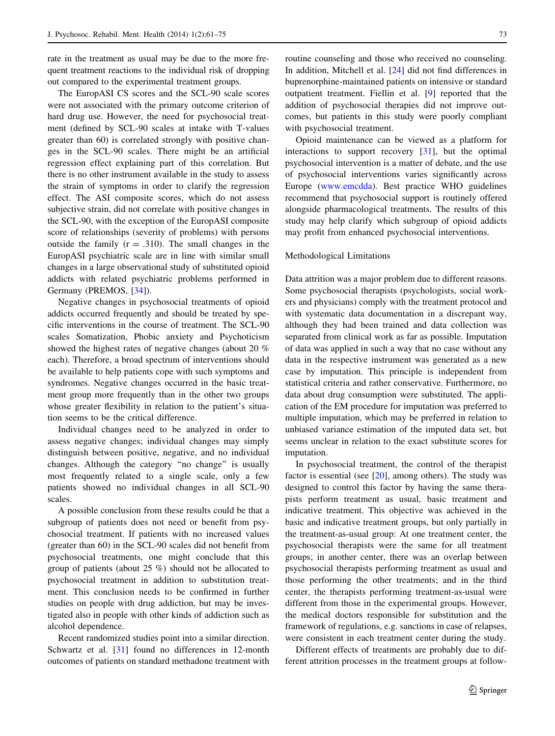rate in the treatment as usual may be due to the more frequent treatment reactions to the individual risk of dropping out compared to the experimental treatment groups.

The EuropASI CS scores and the SCL-90 scale scores were not associated with the primary outcome criterion of hard drug use. However, the need for psychosocial treatment (defined by SCL-90 scales at intake with T-values greater than 60) is correlated strongly with positive changes in the SCL-90 scales. There might be an artificial regression effect explaining part of this correlation. But there is no other instrument available in the study to assess the strain of symptoms in order to clarify the regression effect. The ASI composite scores, which do not assess subjective strain, did not correlate with positive changes in the SCL-90, with the exception of the EuropASI composite score of relationships (severity of problems) with persons outside the family  $(r = .310)$ . The small changes in the EuropASI psychiatric scale are in line with similar small changes in a large observational study of substituted opioid addicts with related psychiatric problems performed in Germany (PREMOS, [[34\]](#page-14-0)).

Negative changes in psychosocial treatments of opioid addicts occurred frequently and should be treated by specific interventions in the course of treatment. The SCL-90 scales Somatization, Phobic anxiety and Psychoticism showed the highest rates of negative changes (about 20 % each). Therefore, a broad spectrum of interventions should be available to help patients cope with such symptoms and syndromes. Negative changes occurred in the basic treatment group more frequently than in the other two groups whose greater flexibility in relation to the patient's situation seems to be the critical difference.

Individual changes need to be analyzed in order to assess negative changes; individual changes may simply distinguish between positive, negative, and no individual changes. Although the category ''no change'' is usually most frequently related to a single scale, only a few patients showed no individual changes in all SCL-90 scales.

A possible conclusion from these results could be that a subgroup of patients does not need or benefit from psychosocial treatment. If patients with no increased values (greater than 60) in the SCL-90 scales did not benefit from psychosocial treatments, one might conclude that this group of patients (about 25 %) should not be allocated to psychosocial treatment in addition to substitution treatment. This conclusion needs to be confirmed in further studies on people with drug addiction, but may be investigated also in people with other kinds of addiction such as alcohol dependence.

Recent randomized studies point into a similar direction. Schwartz et al. [[31\]](#page-14-0) found no differences in 12-month outcomes of patients on standard methadone treatment with routine counseling and those who received no counseling. In addition, Mitchell et al. [[24\]](#page-14-0) did not find differences in buprenorphine-maintained patients on intensive or standard outpatient treatment. Fiellin et al. [\[9](#page-13-0)] reported that the addition of psychosocial therapies did not improve outcomes, but patients in this study were poorly compliant with psychosocial treatment.

Opioid maintenance can be viewed as a platform for interactions to support recovery [[31\]](#page-14-0), but the optimal psychosocial intervention is a matter of debate, and the use of psychosocial interventions varies significantly across Europe [\(www.emcdda\)](http://www.emcdda). Best practice WHO guidelines recommend that psychosocial support is routinely offered alongside pharmacological treatments. The results of this study may help clarify which subgroup of opioid addicts may profit from enhanced psychosocial interventions.

## Methodological Limitations

Data attrition was a major problem due to different reasons. Some psychosocial therapists (psychologists, social workers and physicians) comply with the treatment protocol and with systematic data documentation in a discrepant way, although they had been trained and data collection was separated from clinical work as far as possible. Imputation of data was applied in such a way that no case without any data in the respective instrument was generated as a new case by imputation. This principle is independent from statistical criteria and rather conservative. Furthermore, no data about drug consumption were substituted. The application of the EM procedure for imputation was preferred to multiple imputation, which may be preferred in relation to unbiased variance estimation of the imputed data set, but seems unclear in relation to the exact substitute scores for imputation.

In psychosocial treatment, the control of the therapist factor is essential (see  $[20]$  $[20]$ , among others). The study was designed to control this factor by having the same therapists perform treatment as usual, basic treatment and indicative treatment. This objective was achieved in the basic and indicative treatment groups, but only partially in the treatment-as-usual group: At one treatment center, the psychosocial therapists were the same for all treatment groups; in another center, there was an overlap between psychosocial therapists performing treatment as usual and those performing the other treatments; and in the third center, the therapists performing treatment-as-usual were different from those in the experimental groups. However, the medical doctors responsible for substitution and the framework of regulations, e.g. sanctions in case of relapses, were consistent in each treatment center during the study.

Different effects of treatments are probably due to different attrition processes in the treatment groups at follow-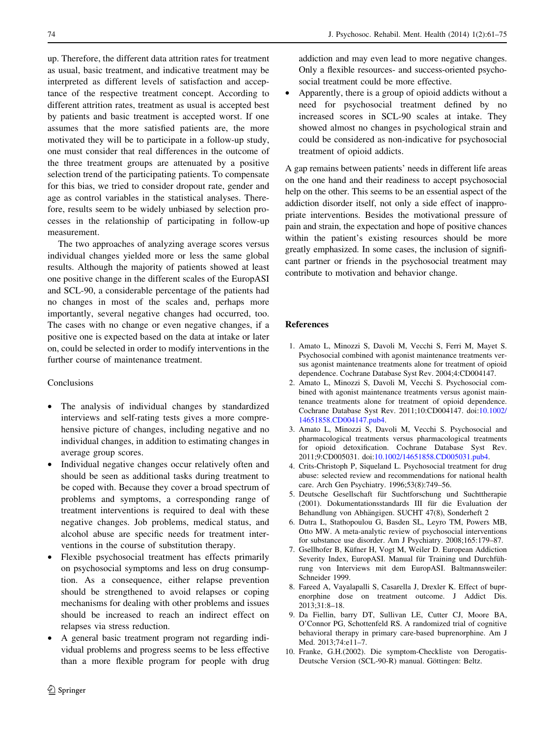<span id="page-13-0"></span>up. Therefore, the different data attrition rates for treatment as usual, basic treatment, and indicative treatment may be interpreted as different levels of satisfaction and acceptance of the respective treatment concept. According to different attrition rates, treatment as usual is accepted best by patients and basic treatment is accepted worst. If one assumes that the more satisfied patients are, the more motivated they will be to participate in a follow-up study, one must consider that real differences in the outcome of the three treatment groups are attenuated by a positive selection trend of the participating patients. To compensate for this bias, we tried to consider dropout rate, gender and age as control variables in the statistical analyses. Therefore, results seem to be widely unbiased by selection processes in the relationship of participating in follow-up measurement.

The two approaches of analyzing average scores versus individual changes yielded more or less the same global results. Although the majority of patients showed at least one positive change in the different scales of the EuropASI and SCL-90, a considerable percentage of the patients had no changes in most of the scales and, perhaps more importantly, several negative changes had occurred, too. The cases with no change or even negative changes, if a positive one is expected based on the data at intake or later on, could be selected in order to modify interventions in the further course of maintenance treatment.

# Conclusions

- The analysis of individual changes by standardized interviews and self-rating tests gives a more comprehensive picture of changes, including negative and no individual changes, in addition to estimating changes in average group scores.
- Individual negative changes occur relatively often and should be seen as additional tasks during treatment to be coped with. Because they cover a broad spectrum of problems and symptoms, a corresponding range of treatment interventions is required to deal with these negative changes. Job problems, medical status, and alcohol abuse are specific needs for treatment interventions in the course of substitution therapy.
- Flexible psychosocial treatment has effects primarily on psychosocial symptoms and less on drug consumption. As a consequence, either relapse prevention should be strengthened to avoid relapses or coping mechanisms for dealing with other problems and issues should be increased to reach an indirect effect on relapses via stress reduction.
- A general basic treatment program not regarding individual problems and progress seems to be less effective than a more flexible program for people with drug

addiction and may even lead to more negative changes. Only a flexible resources- and success-oriented psychosocial treatment could be more effective.

• Apparently, there is a group of opioid addicts without a need for psychosocial treatment defined by no increased scores in SCL-90 scales at intake. They showed almost no changes in psychological strain and could be considered as non-indicative for psychosocial treatment of opioid addicts.

A gap remains between patients' needs in different life areas on the one hand and their readiness to accept psychosocial help on the other. This seems to be an essential aspect of the addiction disorder itself, not only a side effect of inappropriate interventions. Besides the motivational pressure of pain and strain, the expectation and hope of positive chances within the patient's existing resources should be more greatly emphasized. In some cases, the inclusion of significant partner or friends in the psychosocial treatment may contribute to motivation and behavior change.

## References

- 1. Amato L, Minozzi S, Davoli M, Vecchi S, Ferri M, Mayet S. Psychosocial combined with agonist maintenance treatments versus agonist maintenance treatments alone for treatment of opioid dependence. Cochrane Database Syst Rev. 2004;4:CD004147.
- 2. Amato L, Minozzi S, Davoli M, Vecchi S. Psychosocial combined with agonist maintenance treatments versus agonist maintenance treatments alone for treatment of opioid dependence. Cochrane Database Syst Rev. 2011;10:CD004147. doi[:10.1002/](http://dx.doi.org/10.1002/14651858.CD004147.pub4) [14651858.CD004147.pub4.](http://dx.doi.org/10.1002/14651858.CD004147.pub4)
- 3. Amato L, Minozzi S, Davoli M, Vecchi S. Psychosocial and pharmacological treatments versus pharmacological treatments for opioid detoxification. Cochrane Database Syst Rev. 2011;9:CD005031. doi:[10.1002/14651858.CD005031.pub4](http://dx.doi.org/10.1002/14651858.CD005031.pub4).
- 4. Crits-Christoph P, Siqueland L. Psychosocial treatment for drug abuse: selected review and recommendations for national health care. Arch Gen Psychiatry. 1996;53(8):749–56.
- 5. Deutsche Gesellschaft für Suchtforschung und Suchttherapie (2001). Dokumentationsstandards III für die Evaluation der Behandlung von Abhängigen. SUCHT 47(8), Sonderheft 2
- 6. Dutra L, Stathopoulou G, Basden SL, Leyro TM, Powers MB, Otto MW. A meta-analytic review of psychosocial interventions for substance use disorder. Am J Psychiatry. 2008;165:179–87.
- 7. Gsellhofer B, Küfner H, Vogt M, Weiler D. European Addiction Severity Index, EuropASI. Manual für Training und Durchführung von Interviews mit dem EuropASI. Baltmannsweiler: Schneider 1999.
- 8. Fareed A, Vayalapalli S, Casarella J, Drexler K. Effect of buprenorphine dose on treatment outcome. J Addict Dis. 2013;31:8–18.
- 9. Da Fiellin, barry DT, Sullivan LE, Cutter CJ, Moore BA, O'Connor PG, Schottenfeld RS. A randomized trial of cognitive behavioral therapy in primary care-based buprenorphine. Am J Med. 2013;74:e11–7.
- 10. Franke, G.H.(2002). Die symptom-Checkliste von Derogatis-Deutsche Version (SCL-90-R) manual. Göttingen: Beltz.